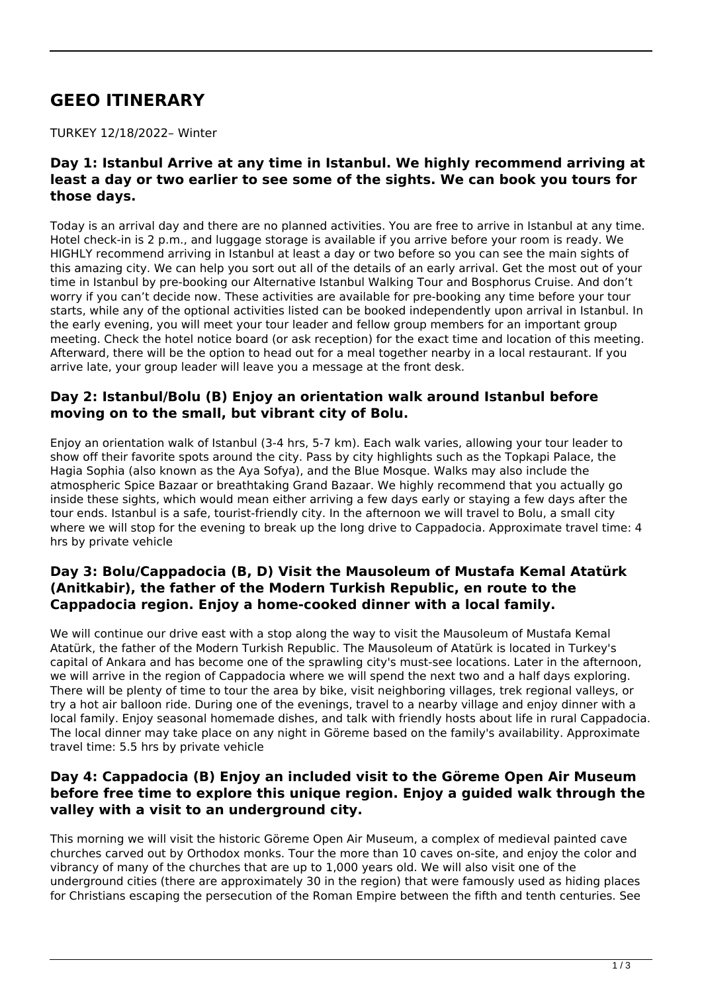# **GEEO ITINERARY**

TURKEY 12/18/2022– Winter

#### **Day 1: Istanbul Arrive at any time in Istanbul. We highly recommend arriving at least a day or two earlier to see some of the sights. We can book you tours for those days.**

Today is an arrival day and there are no planned activities. You are free to arrive in Istanbul at any time. Hotel check-in is 2 p.m., and luggage storage is available if you arrive before your room is ready. We HIGHLY recommend arriving in Istanbul at least a day or two before so you can see the main sights of this amazing city. We can help you sort out all of the details of an early arrival. Get the most out of your time in Istanbul by pre-booking our Alternative Istanbul Walking Tour and Bosphorus Cruise. And don't worry if you can't decide now. These activities are available for pre-booking any time before your tour starts, while any of the optional activities listed can be booked independently upon arrival in Istanbul. In the early evening, you will meet your tour leader and fellow group members for an important group meeting. Check the hotel notice board (or ask reception) for the exact time and location of this meeting. Afterward, there will be the option to head out for a meal together nearby in a local restaurant. If you arrive late, your group leader will leave you a message at the front desk.

#### **Day 2: Istanbul/Bolu (B) Enjoy an orientation walk around Istanbul before moving on to the small, but vibrant city of Bolu.**

Enjoy an orientation walk of Istanbul (3-4 hrs, 5-7 km). Each walk varies, allowing your tour leader to show off their favorite spots around the city. Pass by city highlights such as the Topkapi Palace, the Hagia Sophia (also known as the Aya Sofya), and the Blue Mosque. Walks may also include the atmospheric Spice Bazaar or breathtaking Grand Bazaar. We highly recommend that you actually go inside these sights, which would mean either arriving a few days early or staying a few days after the tour ends. Istanbul is a safe, tourist-friendly city. In the afternoon we will travel to Bolu, a small city where we will stop for the evening to break up the long drive to Cappadocia. Approximate travel time: 4 hrs by private vehicle

## **Day 3: Bolu/Cappadocia (B, D) Visit the Mausoleum of Mustafa Kemal Atatürk (Anitkabir), the father of the Modern Turkish Republic, en route to the Cappadocia region. Enjoy a home-cooked dinner with a local family.**

We will continue our drive east with a stop along the way to visit the Mausoleum of Mustafa Kemal Atatürk, the father of the Modern Turkish Republic. The Mausoleum of Atatürk is located in Turkey's capital of Ankara and has become one of the sprawling city's must-see locations. Later in the afternoon, we will arrive in the region of Cappadocia where we will spend the next two and a half days exploring. There will be plenty of time to tour the area by bike, visit neighboring villages, trek regional valleys, or try a hot air balloon ride. During one of the evenings, travel to a nearby village and enjoy dinner with a local family. Enjoy seasonal homemade dishes, and talk with friendly hosts about life in rural Cappadocia. The local dinner may take place on any night in Göreme based on the family's availability. Approximate travel time: 5.5 hrs by private vehicle

## **Day 4: Cappadocia (B) Enjoy an included visit to the Göreme Open Air Museum before free time to explore this unique region. Enjoy a guided walk through the valley with a visit to an underground city.**

This morning we will visit the historic Göreme Open Air Museum, a complex of medieval painted cave churches carved out by Orthodox monks. Tour the more than 10 caves on-site, and enjoy the color and vibrancy of many of the churches that are up to 1,000 years old. We will also visit one of the underground cities (there are approximately 30 in the region) that were famously used as hiding places for Christians escaping the persecution of the Roman Empire between the fifth and tenth centuries. See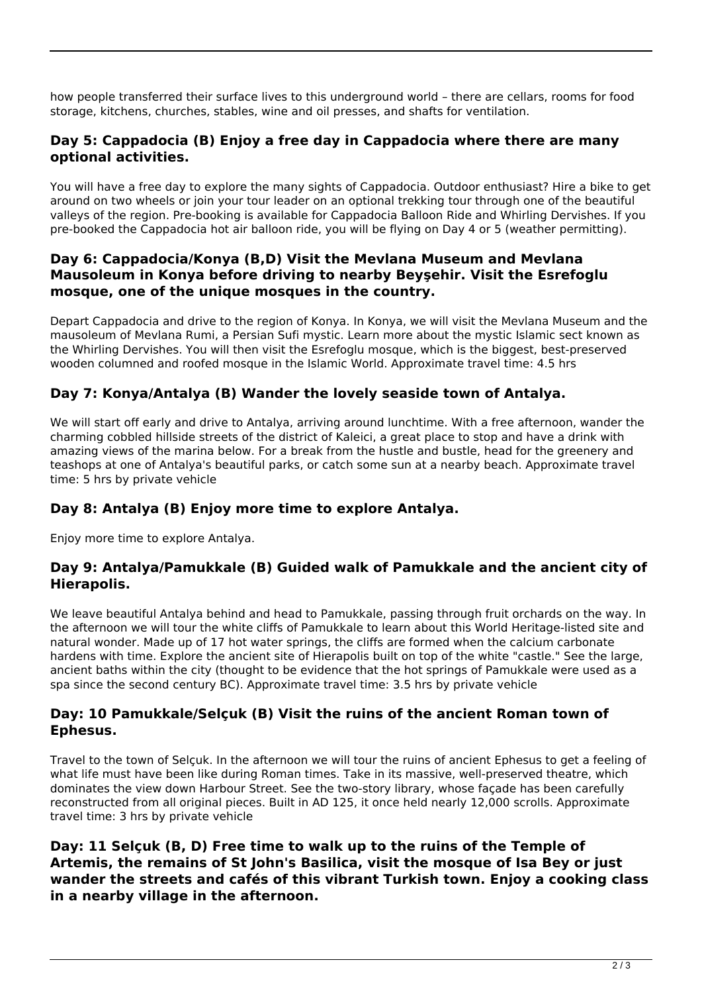how people transferred their surface lives to this underground world – there are cellars, rooms for food storage, kitchens, churches, stables, wine and oil presses, and shafts for ventilation.

## **Day 5: Cappadocia (B) Enjoy a free day in Cappadocia where there are many optional activities.**

You will have a free day to explore the many sights of Cappadocia. Outdoor enthusiast? Hire a bike to get around on two wheels or join your tour leader on an optional trekking tour through one of the beautiful valleys of the region. Pre-booking is available for Cappadocia Balloon Ride and Whirling Dervishes. If you pre-booked the Cappadocia hot air balloon ride, you will be flying on Day 4 or 5 (weather permitting).

## **Day 6: Cappadocia/Konya (B,D) Visit the Mevlana Museum and Mevlana Mausoleum in Konya before driving to nearby Beyşehir. Visit the Esrefoglu mosque, one of the unique mosques in the country.**

Depart Cappadocia and drive to the region of Konya. In Konya, we will visit the Mevlana Museum and the mausoleum of Mevlana Rumi, a Persian Sufi mystic. Learn more about the mystic Islamic sect known as the Whirling Dervishes. You will then visit the Esrefoglu mosque, which is the biggest, best-preserved wooden columned and roofed mosque in the Islamic World. Approximate travel time: 4.5 hrs

# **Day 7: Konya/Antalya (B) Wander the lovely seaside town of Antalya.**

We will start off early and drive to Antalya, arriving around lunchtime. With a free afternoon, wander the charming cobbled hillside streets of the district of Kaleici, a great place to stop and have a drink with amazing views of the marina below. For a break from the hustle and bustle, head for the greenery and teashops at one of Antalya's beautiful parks, or catch some sun at a nearby beach. Approximate travel time: 5 hrs by private vehicle

# **Day 8: Antalya (B) Enjoy more time to explore Antalya.**

Enjoy more time to explore Antalya.

## **Day 9: Antalya/Pamukkale (B) Guided walk of Pamukkale and the ancient city of Hierapolis.**

We leave beautiful Antalya behind and head to Pamukkale, passing through fruit orchards on the way. In the afternoon we will tour the white cliffs of Pamukkale to learn about this World Heritage-listed site and natural wonder. Made up of 17 hot water springs, the cliffs are formed when the calcium carbonate hardens with time. Explore the ancient site of Hierapolis built on top of the white "castle." See the large, ancient baths within the city (thought to be evidence that the hot springs of Pamukkale were used as a spa since the second century BC). Approximate travel time: 3.5 hrs by private vehicle

#### **Day: 10 Pamukkale/Selçuk (B) Visit the ruins of the ancient Roman town of Ephesus.**

Travel to the town of Selçuk. In the afternoon we will tour the ruins of ancient Ephesus to get a feeling of what life must have been like during Roman times. Take in its massive, well-preserved theatre, which dominates the view down Harbour Street. See the two-story library, whose façade has been carefully reconstructed from all original pieces. Built in AD 125, it once held nearly 12,000 scrolls. Approximate travel time: 3 hrs by private vehicle

**Day: 11 Selçuk (B, D) Free time to walk up to the ruins of the Temple of Artemis, the remains of St John's Basilica, visit the mosque of Isa Bey or just wander the streets and cafés of this vibrant Turkish town. Enjoy a cooking class in a nearby village in the afternoon.**